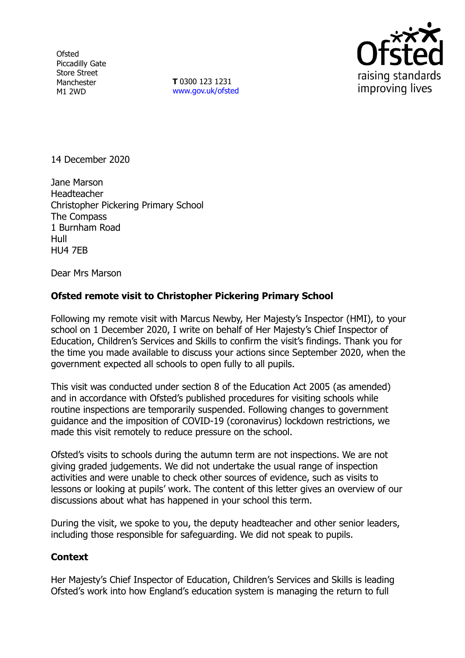**Ofsted** Piccadilly Gate Store Street Manchester M1 2WD

**T** 0300 123 1231 [www.gov.uk/ofsted](http://www.gov.uk/ofsted)



14 December 2020

Jane Marson Headteacher Christopher Pickering Primary School The Compass 1 Burnham Road Hull HU4 7EB

Dear Mrs Marson

## **Ofsted remote visit to Christopher Pickering Primary School**

Following my remote visit with Marcus Newby, Her Majesty's Inspector (HMI), to your school on 1 December 2020, I write on behalf of Her Majesty's Chief Inspector of Education, Children's Services and Skills to confirm the visit's findings. Thank you for the time you made available to discuss your actions since September 2020, when the government expected all schools to open fully to all pupils.

This visit was conducted under section 8 of the Education Act 2005 (as amended) and in accordance with Ofsted's published procedures for visiting schools while routine inspections are temporarily suspended. Following changes to government guidance and the imposition of COVID-19 (coronavirus) lockdown restrictions, we made this visit remotely to reduce pressure on the school.

Ofsted's visits to schools during the autumn term are not inspections. We are not giving graded judgements. We did not undertake the usual range of inspection activities and were unable to check other sources of evidence, such as visits to lessons or looking at pupils' work. The content of this letter gives an overview of our discussions about what has happened in your school this term.

During the visit, we spoke to you, the deputy headteacher and other senior leaders, including those responsible for safeguarding. We did not speak to pupils.

## **Context**

Her Majesty's Chief Inspector of Education, Children's Services and Skills is leading Ofsted's work into how England's education system is managing the return to full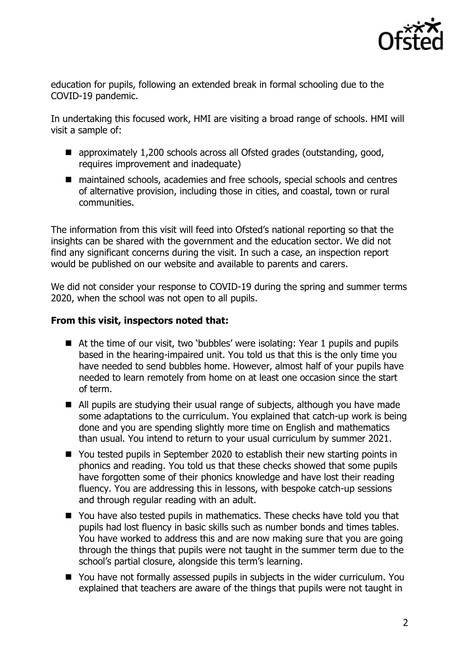

education for pupils, following an extended break in formal schooling due to the COVID-19 pandemic.

In undertaking this focused work, HMI are visiting a broad range of schools. HMI will visit a sample of:

- approximately 1,200 schools across all Ofsted grades (outstanding, good, requires improvement and inadequate)
- maintained schools, academies and free schools, special schools and centres of alternative provision, including those in cities, and coastal, town or rural communities.

The information from this visit will feed into Ofsted's national reporting so that the insights can be shared with the government and the education sector. We did not find any significant concerns during the visit. In such a case, an inspection report would be published on our website and available to parents and carers.

We did not consider your response to COVID-19 during the spring and summer terms 2020, when the school was not open to all pupils.

## **From this visit, inspectors noted that:**

- At the time of our visit, two 'bubbles' were isolating: Year 1 pupils and pupils based in the hearing-impaired unit. You told us that this is the only time you have needed to send bubbles home. However, almost half of your pupils have needed to learn remotely from home on at least one occasion since the start of term.
- All pupils are studying their usual range of subjects, although you have made some adaptations to the curriculum. You explained that catch-up work is being done and you are spending slightly more time on English and mathematics than usual. You intend to return to your usual curriculum by summer 2021.
- You tested pupils in September 2020 to establish their new starting points in phonics and reading. You told us that these checks showed that some pupils have forgotten some of their phonics knowledge and have lost their reading fluency. You are addressing this in lessons, with bespoke catch-up sessions and through regular reading with an adult.
- You have also tested pupils in mathematics. These checks have told you that pupils had lost fluency in basic skills such as number bonds and times tables. You have worked to address this and are now making sure that you are going through the things that pupils were not taught in the summer term due to the school's partial closure, alongside this term's learning.
- You have not formally assessed pupils in subjects in the wider curriculum. You explained that teachers are aware of the things that pupils were not taught in